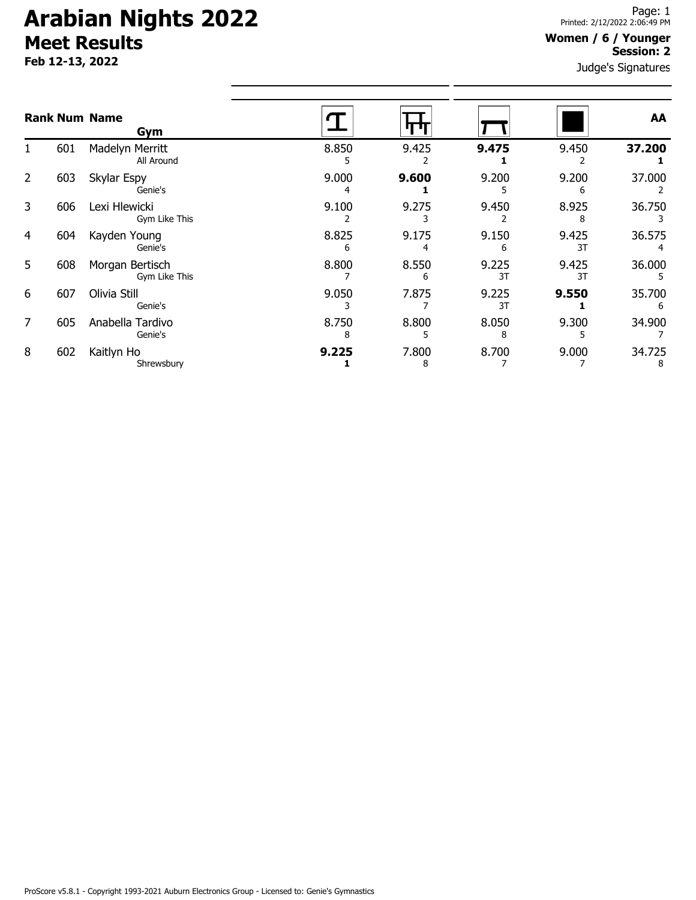# **Arabian Nights 2022 Meet Results**

**Feb 12-13, 2022**

#### **Women / 6 / Younger Session: 2**

Judge's Signatures

|   |     | <b>Rank Num Name</b><br>Gym      |            |            |             |             | AA          |
|---|-----|----------------------------------|------------|------------|-------------|-------------|-------------|
|   | 601 | Madelyn Merritt<br>All Around    | 8.850<br>ь | 9.425      | 9.475       | 9.450       | 37.200      |
| 2 | 603 | Skylar Espy<br>Genie's           | 9.000<br>4 | 9.600      | 9.200       | 9.200<br>6  | 37.000      |
| 3 | 606 | Lexi Hlewicki<br>Gym Like This   | 9.100      | 9.275      | 9.450       | 8.925<br>8  | 36.750      |
| 4 | 604 | Kayden Young<br>Genie's          | 8.825<br>6 | 9.175      | 9.150<br>6  | 9.425<br>3T | 36.575      |
| 5 | 608 | Morgan Bertisch<br>Gym Like This | 8.800      | 8.550<br>6 | 9.225<br>3T | 9.425<br>3T | 36.000      |
| 6 | 607 | Olivia Still<br>Genie's          | 9.050      | 7.875      | 9.225<br>3T | 9.550       | 35.700      |
| 7 | 605 | Anabella Tardivo<br>Genie's      | 8.750<br>8 | 8.800      | 8.050<br>8  | 9.300       | 34.900      |
| 8 | 602 | Kaitlyn Ho<br>Shrewsbury         | 9.225      | 7.800<br>8 | 8.700       | 9.000       | 34.725<br>8 |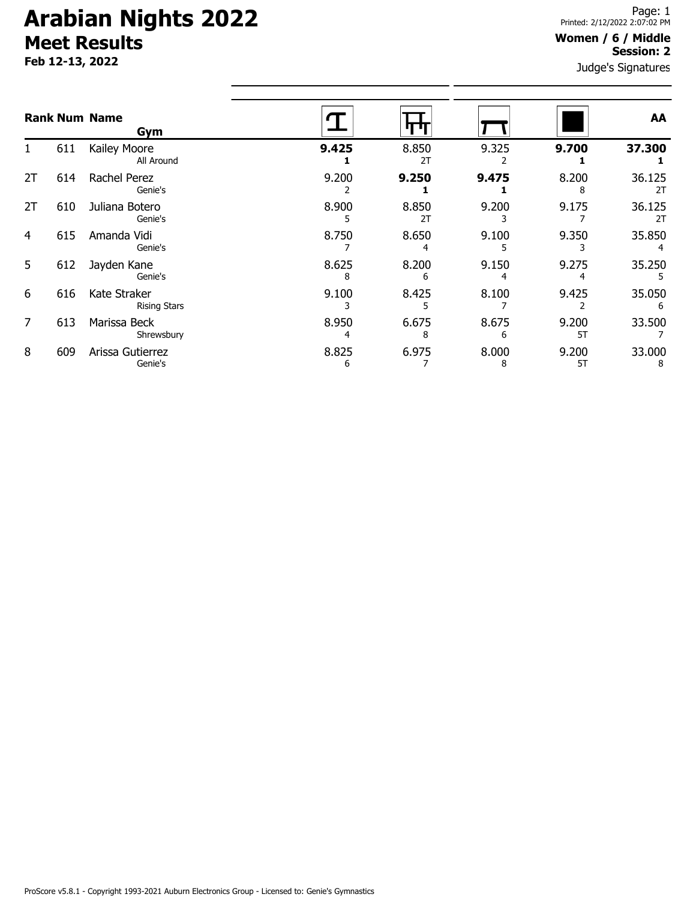# **Arabian Nights 2022 Meet Results**

**Feb 12-13, 2022**

#### **Women / 6 / Middle Session: 2**

Judge's Signatures

|                |     | <b>Rank Num Name</b><br>Gym         |            |             |            |             | AA           |
|----------------|-----|-------------------------------------|------------|-------------|------------|-------------|--------------|
| 1.             | 611 | Kailey Moore<br>All Around          | 9.425      | 8.850<br>2T | 9.325      | 9.700       | 37.300       |
| 2T             | 614 | Rachel Perez<br>Genie's             | 9.200      | 9.250       | 9.475      | 8.200<br>8  | 36.125<br>2T |
| 2T             | 610 | Juliana Botero<br>Genie's           | 8.900<br>5 | 8.850<br>2T | 9.200      | 9.175       | 36.125<br>2T |
| 4              | 615 | Amanda Vidi<br>Genie's              | 8.750      | 8.650<br>4  | 9.100      | 9.350       | 35.850       |
| 5              | 612 | Jayden Kane<br>Genie's              | 8.625<br>8 | 8.200<br>6  | 9.150      | 9.275       | 35.250       |
| 6              | 616 | Kate Straker<br><b>Rising Stars</b> | 9.100      | 8.425<br>5  | 8.100      | 9.425       | 35.050<br>6  |
| $\overline{7}$ | 613 | Marissa Beck<br>Shrewsbury          | 8.950<br>4 | 6.675<br>8  | 8.675<br>6 | 9.200<br>5T | 33.500       |
| 8              | 609 | Arissa Gutierrez<br>Genie's         | 8.825<br>6 | 6.975       | 8.000<br>8 | 9.200<br>5T | 33.000<br>8  |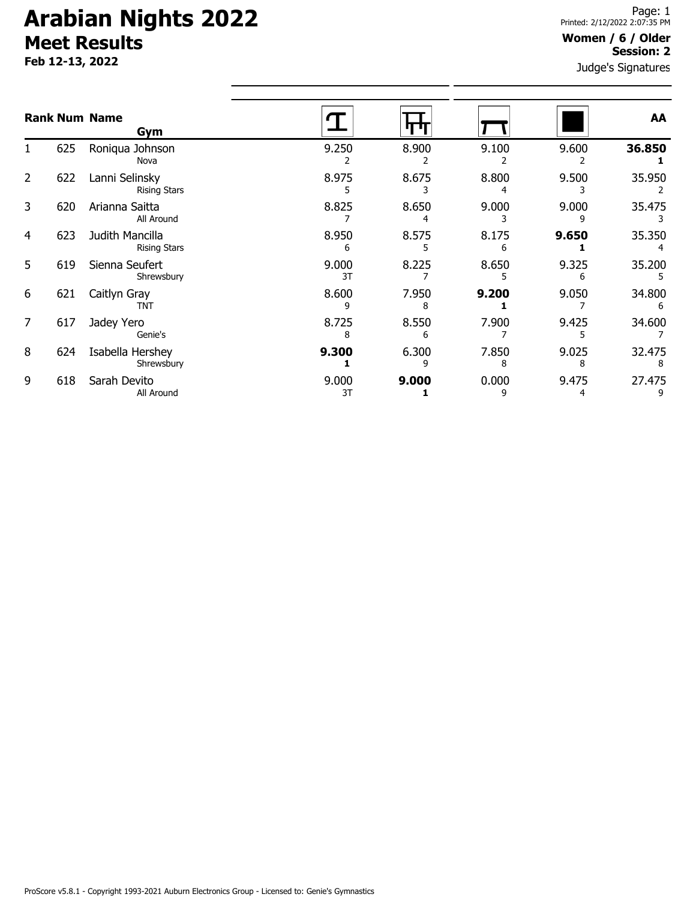# **Arabian Nights 2022 Meet Results**

**Feb 12-13, 2022**

#### Judge's Signatures **Women / 6 / Older Session: 2**

|                |     | <b>Rank Num Name</b><br>Gym            |             |            |            |            | AA          |
|----------------|-----|----------------------------------------|-------------|------------|------------|------------|-------------|
| 1.             | 625 | Roniqua Johnson<br>Nova                | 9.250       | 8.900      | 9.100      | 9.600      | 36.850      |
| $\overline{2}$ | 622 | Lanni Selinsky<br><b>Rising Stars</b>  | 8.975       | 8.675      | 8.800      | 9.500      | 35.950      |
| 3              | 620 | Arianna Saitta<br>All Around           | 8.825       | 8.650      | 9.000      | 9.000      | 35.475      |
| 4              | 623 | Judith Mancilla<br><b>Rising Stars</b> | 8.950<br>6  | 8.575      | 8.175      | 9.650      | 35.350      |
| 5              | 619 | Sienna Seufert<br>Shrewsbury           | 9.000<br>3T | 8.225      | 8.650      | 9.325      | 35.200      |
| 6              | 621 | Caitlyn Gray<br><b>TNT</b>             | 8.600<br>٩  | 7.950<br>8 | 9.200      | 9.050      | 34.800<br>6 |
| 7              | 617 | Jadey Yero<br>Genie's                  | 8.725<br>8  | 8.550<br>6 | 7.900      | 9.425      | 34.600      |
| 8              | 624 | Isabella Hershey<br>Shrewsbury         | 9.300       | 6.300<br>q | 7.850<br>8 | 9.025<br>8 | 32.475      |
| 9              | 618 | Sarah Devito<br>All Around             | 9.000<br>3T | 9.000      | 0.000<br>٩ | 9.475      | 27.475      |